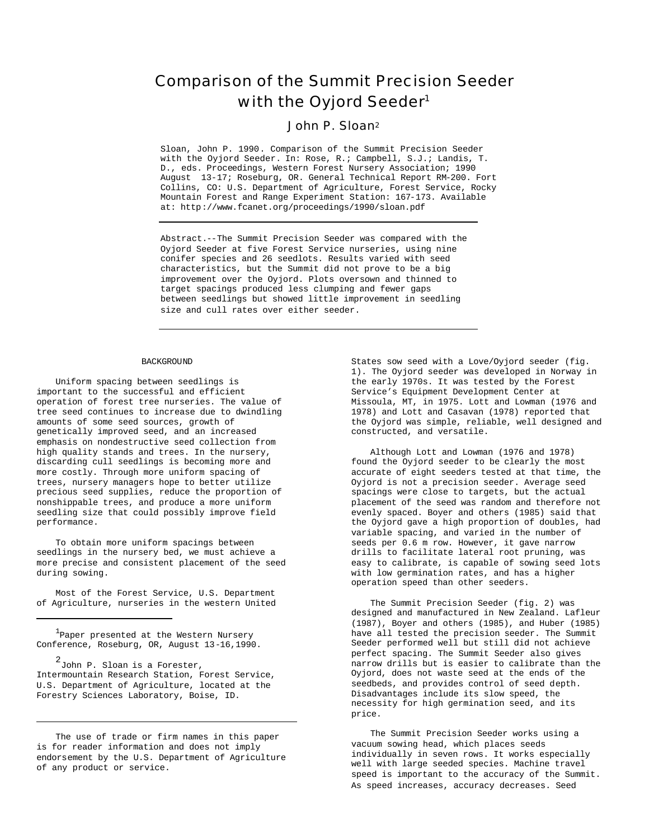# Comparison of the Summit Precision Seeder with the Oyjord Seeder<sup>1</sup>

# John P. Sloan<sup>2</sup>

Sloan, John P. 1990. Comparison of the Summit Precision Seeder with the Oyjord Seeder. In: Rose, R.; Campbell, S.J.; Landis, T. D., eds. Proceedings, Western Forest Nursery Association; 1990 August 13-17; Roseburg, OR. General Technical Report RM-200. Fort Collins, CO: U.S. Department of Agriculture, Forest Service, Rocky Mountain Forest and Range Experiment Station: 167-173. Available at: http://www.fcanet.org/proceedings/1990/sloan.pdf

Abstract.--The Summit Precision Seeder was compared with the Oyjord Seeder at five Forest Service nurseries, using nine conifer species and 26 seedlots. Results varied with seed characteristics, but the Summit did not prove to be a big improvement over the Oyjord. Plots oversown and thinned to target spacings produced less clumping and fewer gaps between seedlings but showed little improvement in seedling size and cull rates over either seeder.

## **BACKGROUND**

Uniform spacing between seedlings is important to the successful and efficient operation of forest tree nurseries. The value of tree seed continues to increase due to dwindling amounts of some seed sources, growth of genetically improved seed, and an increased emphasis on nondestructive seed collection from high quality stands and trees. In the nursery, discarding cull seedlings is becoming more and more costly. Through more uniform spacing of trees, nursery managers hope to better utilize precious seed supplies, reduce the proportion of nonshippable trees, and produce a more uniform seedling size that could possibly improve field performance.

To obtain more uniform spacings between seedlings in the nursery bed, we must achieve a more precise and consistent placement of the seed during sowing.

Most of the Forest Service, U.S. Department of Agriculture, nurseries in the western United

<sup>1</sup>Paper presented at the Western Nursery Conference, Roseburg, OR, August 13-16,1990.

2 John P. Sloan is a Forester, Intermountain Research Station, Forest Service, U.S. Department of Agriculture, located at the Forestry Sciences Laboratory, Boise, ID.

The use of trade or firm names in this paper is for reader information and does not imply endorsement by the U.S. Department of Agriculture of any product or service.

States sow seed with a Love/Oyjord seeder (fig. 1). The Oyjord seeder was developed in Norway in the early 1970s. It was tested by the Forest Service's Equipment Development Center at Missoula, MT, in 1975. Lott and Lowman (1976 and 1978) and Lott and Casavan (1978) reported that the Oyjord was simple, reliable, well designed and constructed, and versatile.

Although Lott and Lowman (1976 and 1978) found the Oyjord seeder to be clearly the most accurate of eight seeders tested at that time, the Oyjord is not a precision seeder. Average seed spacings were close to targets, but the actual placement of the seed was random and therefore not evenly spaced. Boyer and others (1985) said that the Oyjord gave a high proportion of doubles, had variable spacing, and varied in the number of seeds per 0.6 m row. However, it gave narrow drills to facilitate lateral root pruning, was easy to calibrate, is capable of sowing seed lots with low germination rates, and has a higher operation speed than other seeders.

The Summit Precision Seeder (fig. 2) was designed and manufactured in New Zealand. Lafleur (1987), Boyer and others (1985), and Huber (1985) have all tested the precision seeder. The Summit Seeder performed well but still did not achieve perfect spacing. The Summit Seeder also gives narrow drills but is easier to calibrate than the Oyjord, does not waste seed at the ends of the seedbeds, and provides control of seed depth. Disadvantages include its slow speed, the necessity for high germination seed, and its price.

The Summit Precision Seeder works using a vacuum sowing head, which places seeds individually in seven rows. It works especially well with large seeded species. Machine travel speed is important to the accuracy of the Summit. As speed increases, accuracy decreases. Seed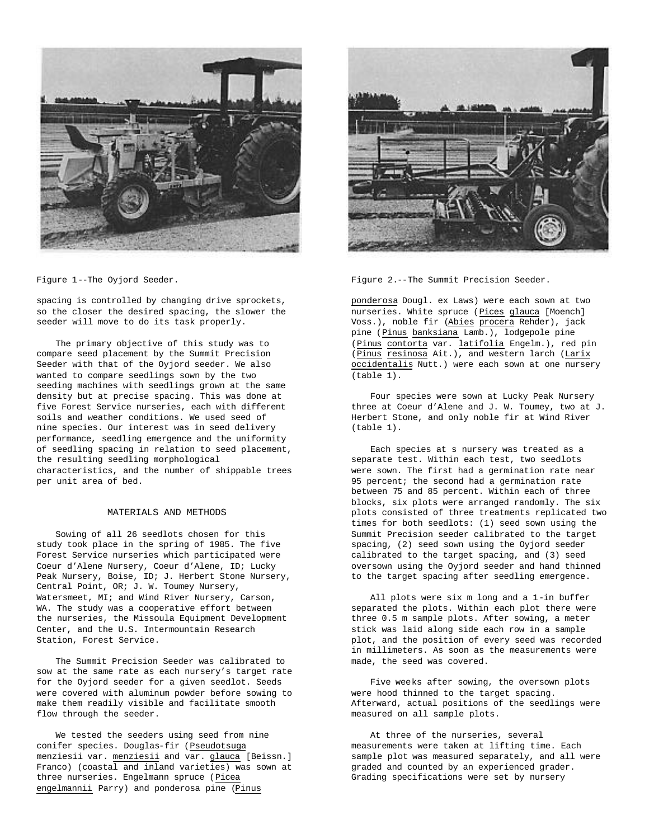

Figure 1--The Oyjord Seeder.

spacing is controlled by changing drive sprockets, so the closer the desired spacing, the slower the seeder will move to do its task properly.

The primary objective of this study was to compare seed placement by the Summit Precision Seeder with that of the Oyjord seeder. We also wanted to compare seedlings sown by the two seeding machines with seedlings grown at the same density but at precise spacing. This was done at five Forest Service nurseries, each with different soils and weather conditions. We used seed of nine species. Our interest was in seed delivery performance, seedling emergence and the uniformity of seedling spacing in relation to seed placement, the resulting seedling morphological characteristics, and the number of shippable trees per unit area of bed.

# MATERIALS AND METHODS

Sowing of all 26 seedlots chosen for this study took place in the spring of 1985. The five Forest Service nurseries which participated were Coeur d'Alene Nursery, Coeur d'Alene, ID; Lucky Peak Nursery, Boise, ID; J. Herbert Stone Nursery, Central Point, OR; J. W. Toumey Nursery, Watersmeet, MI; and Wind River Nursery, Carson, WA. The study was a cooperative effort between the nurseries, the Missoula Equipment Development Center, and the U.S. Intermountain Research Station, Forest Service.

The Summit Precision Seeder was calibrated to sow at the same rate as each nursery's target rate for the Oyjord seeder for a given seedlot. Seeds were covered with aluminum powder before sowing to make them readily visible and facilitate smooth flow through the seeder.

We tested the seeders using seed from nine conifer species. Douglas-fir (Pseudotsuga menziesii var. menziesii and var. glauca [Beissn.] Franco) (coastal and inland varieties) was sown at three nurseries. Engelmann spruce (Picea engelmannii Parry) and ponderosa pine (Pinus



Figure 2.--The Summit Precision Seeder.

ponderosa Dougl. ex Laws) were each sown at two nurseries. White spruce (Pices glauca [Moench] Voss.), noble fir (Abies procera Rehder), jack pine (Pinus banksiana Lamb.), lodgepole pine (Pinus contorta var. latifolia Engelm.), red pin (Pinus resinosa Ait.), and western larch (Larix occidentalis Nutt.) were each sown at one nursery (table 1).

Four species were sown at Lucky Peak Nursery three at Coeur d'Alene and J. W. Toumey, two at J. Herbert Stone, and only noble fir at Wind River (table 1).

Each species at s nursery was treated as a separate test. Within each test, two seedlots were sown. The first had a germination rate near 95 percent; the second had a germination rate between 75 and 85 percent. Within each of three blocks, six plots were arranged randomly. The six plots consisted of three treatments replicated two times for both seedlots: (1) seed sown using the Summit Precision seeder calibrated to the target spacing, (2) seed sown using the Oyjord seeder calibrated to the target spacing, and (3) seed oversown using the Oyjord seeder and hand thinned to the target spacing after seedling emergence.

All plots were six m long and a 1-in buffer separated the plots. Within each plot there were three 0.5 m sample plots. After sowing, a meter stick was laid along side each row in a sample plot, and the position of every seed was recorded in millimeters. As soon as the measurements were made, the seed was covered.

Five weeks after sowing, the oversown plots were hood thinned to the target spacing. Afterward, actual positions of the seedlings were measured on all sample plots.

At three of the nurseries, several measurements were taken at lifting time. Each sample plot was measured separately, and all were graded and counted by an experienced grader. Grading specifications were set by nursery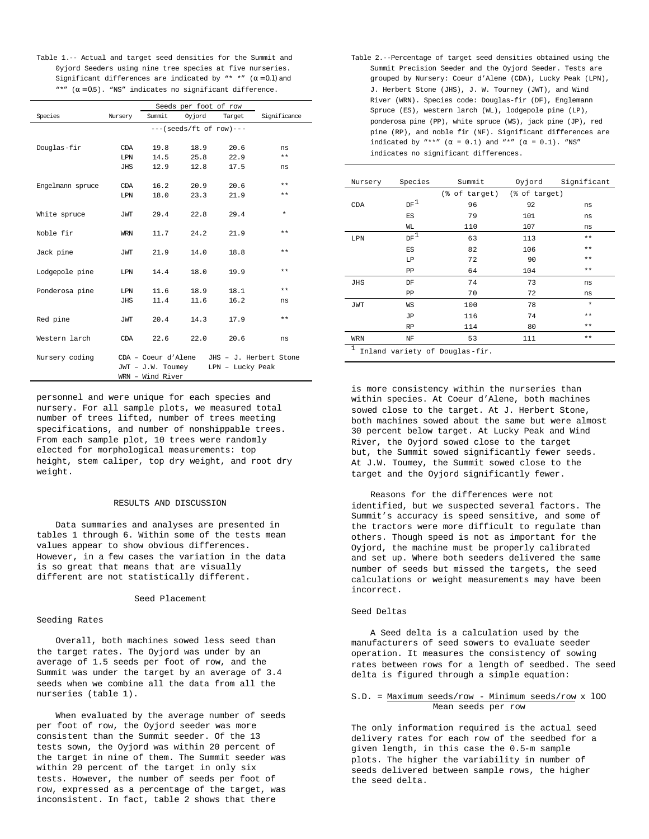Table 1.-- Actual and target seed densities for the Summit and 0yjord Seeders using nine tree species at five nurseries. Significant differences are indicated by "\* \*"  $(\alpha = 0.1)$  and "\*"  $(\alpha = 0.5)$ . "NS" indicates no significant difference.

|                  |            | Seeds per foot of row     |        |                  |                        |  |  |  |  |  |  |  |
|------------------|------------|---------------------------|--------|------------------|------------------------|--|--|--|--|--|--|--|
| Species          | Nursery    | Summit                    | Oyjord | Target           | Significance           |  |  |  |  |  |  |  |
|                  |            | $---(seeds/ft of row)---$ |        |                  |                        |  |  |  |  |  |  |  |
|                  |            |                           |        |                  |                        |  |  |  |  |  |  |  |
| Douglas-fir      | CDA        | 19.8                      | 18.9   | 20.6             | ns                     |  |  |  |  |  |  |  |
|                  | T.PN       | 14.5                      | 25.8   | 22.9             | $* *$                  |  |  |  |  |  |  |  |
|                  | JHS        | 12.9                      | 12.8   | 17.5             | ns                     |  |  |  |  |  |  |  |
|                  |            |                           |        |                  |                        |  |  |  |  |  |  |  |
| Engelmann spruce | CDA        | 16.2                      | 20.9   | 20.6             | $* *$                  |  |  |  |  |  |  |  |
|                  | LPN        | 18.0                      | 23.3   | 21.9             | $* *$                  |  |  |  |  |  |  |  |
|                  |            |                           |        |                  |                        |  |  |  |  |  |  |  |
| White spruce     | JWT        | 29.4                      | 22.8   | 29.4             | $\star$                |  |  |  |  |  |  |  |
|                  |            |                           |        |                  |                        |  |  |  |  |  |  |  |
| Noble fir        | WRN        | 11.7                      | 24.2   | 21.9             | $* *$                  |  |  |  |  |  |  |  |
|                  |            |                           |        |                  | $* *$                  |  |  |  |  |  |  |  |
| Jack pine        | JWT        | 21.9                      | 14.0   | 18.8             |                        |  |  |  |  |  |  |  |
| Lodgepole pine   | LPN        | 14.4                      | 18.0   | 19.9             | **                     |  |  |  |  |  |  |  |
|                  |            |                           |        |                  |                        |  |  |  |  |  |  |  |
| Ponderosa pine   | LPN        | 11.6                      | 18.9   | 18.1             | $**$                   |  |  |  |  |  |  |  |
|                  | <b>JHS</b> | 11.4                      | 11.6   | 16.2             | ns                     |  |  |  |  |  |  |  |
|                  |            |                           |        |                  |                        |  |  |  |  |  |  |  |
| Red pine         | JWT        | 20.4                      | 14.3   | 17.9             | **                     |  |  |  |  |  |  |  |
|                  |            |                           |        |                  |                        |  |  |  |  |  |  |  |
| Western larch    | <b>CDA</b> | 22.6                      | 22.0   | 20.6             | ns                     |  |  |  |  |  |  |  |
|                  |            |                           |        |                  |                        |  |  |  |  |  |  |  |
| Nursery coding   |            | CDA - Coeur d'Alene       |        |                  | JHS - J. Herbert Stone |  |  |  |  |  |  |  |
|                  |            | JWT - J.W. Toumey         |        | LPN - Lucky Peak |                        |  |  |  |  |  |  |  |
|                  |            | WRN - Wind River          |        |                  |                        |  |  |  |  |  |  |  |

personnel and were unique for each species and nursery. For all sample plots, we measured total number of trees lifted, number of trees meeting specifications, and number of nonshippable trees. From each sample plot, 10 trees were randomly elected for morphological measurements: top height, stem caliper, top dry weight, and root dry weight.

#### RESULTS AND DISCUSSION

Data summaries and analyses are presented in tables 1 through 6. Within some of the tests mean values appear to show obvious differences. However, in a few cases the variation in the data is so great that means that are visually different are not statistically different.

# Seed Placement

#### Seeding Rates

Overall, both machines sowed less seed than the target rates. The Oyjord was under by an average of 1.5 seeds per foot of row, and the Summit was under the target by an average of 3.4 seeds when we combine all the data from all the nurseries (table 1).

When evaluated by the average number of seeds per foot of row, the Oyjord seeder was more consistent than the Summit seeder. Of the 13 tests sown, the Oyjord was within 20 percent of the target in nine of them. The Summit seeder was within 20 percent of the target in only six tests. However, the number of seeds per foot of row, expressed as a percentage of the target, was inconsistent. In fact, table 2 shows that there

Table 2.--Percentage of target seed densities obtained using the Summit Precision Seeder and the Oyjord Seeder. Tests are grouped by Nursery: Coeur d'Alene (CDA), Lucky Peak (LPN), J. Herbert Stone (JHS), J. W. Tourney (JWT), and Wind River (WRN). Species code: Douglas-fir (DF), Englemann Spruce (ES), western larch (WL), lodgepole pine (LP), ponderosa pine (PP), white spruce (WS), jack pine (JP), red pine (RP), and noble fir (NF). Significant differences are indicated by "\*\*"  $(\alpha = 0.1)$  and "\*"  $(\alpha = 0.1)$ . "NS" indicates no significant differences.

| Nursery                                        | Species         | Summit                      | Oyjord | Significant |  |  |  |  |  |  |
|------------------------------------------------|-----------------|-----------------------------|--------|-------------|--|--|--|--|--|--|
|                                                |                 | (% of target) (% of target) |        |             |  |  |  |  |  |  |
| CDA                                            | DF <sup>1</sup> | 96                          | 92     | ns          |  |  |  |  |  |  |
|                                                | ES              | 79                          | 101    | ns          |  |  |  |  |  |  |
|                                                | WL              | 110                         | 107    | ns          |  |  |  |  |  |  |
| LPN                                            | $_{\rm DF}$ 1   | 63                          | 113    | $* *$       |  |  |  |  |  |  |
|                                                | ES              | 82                          | 106    | $* *$       |  |  |  |  |  |  |
|                                                | LP              | 72                          | 90     | $* *$       |  |  |  |  |  |  |
|                                                | PP              | 64                          | 104    | $* *$       |  |  |  |  |  |  |
| JHS                                            | DF              | 74                          | 73     | ns          |  |  |  |  |  |  |
|                                                | PP              | 70                          | 72     | ns          |  |  |  |  |  |  |
| JWT                                            | WS              | 100                         | 78     | $\star$     |  |  |  |  |  |  |
|                                                | JΡ              | 116                         | 74     | $* *$       |  |  |  |  |  |  |
|                                                | RP              | 114                         | 80     | $* *$       |  |  |  |  |  |  |
| WRN                                            | NF              | 53                          | 111    | $* *$       |  |  |  |  |  |  |
| $\mathbf{1}$<br>Inland variety of Douglas-fir. |                 |                             |        |             |  |  |  |  |  |  |

is more consistency within the nurseries than within species. At Coeur d'Alene, both machines sowed close to the target. At J. Herbert Stone, both machines sowed about the same but were almost 30 percent below target. At Lucky Peak and Wind River, the Oyjord sowed close to the target but, the Summit sowed significantly fewer seeds. At J.W. Toumey, the Summit sowed close to the target and the Oyjord significantly fewer.

Reasons for the differences were not identified, but we suspected several factors. The Summit's accuracy is speed sensitive, and some of the tractors were more difficult to regulate than others. Though speed is not as important for the Oyjord, the machine must be properly calibrated and set up. Where both seeders delivered the same number of seeds but missed the targets, the seed calculations or weight measurements may have been incorrect.

## Seed Deltas

A Seed delta is a calculation used by the manufacturers of seed sowers to evaluate seeder operation. It measures the consistency of sowing rates between rows for a length of seedbed. The seed delta is figured through a simple equation:

# S.D. = Maximum seeds/row - Minimum seeds/row x lOO Mean seeds per row

The only information required is the actual seed delivery rates for each row of the seedbed for a given length, in this case the 0.5-m sample plots. The higher the variability in number of seeds delivered between sample rows, the higher the seed delta.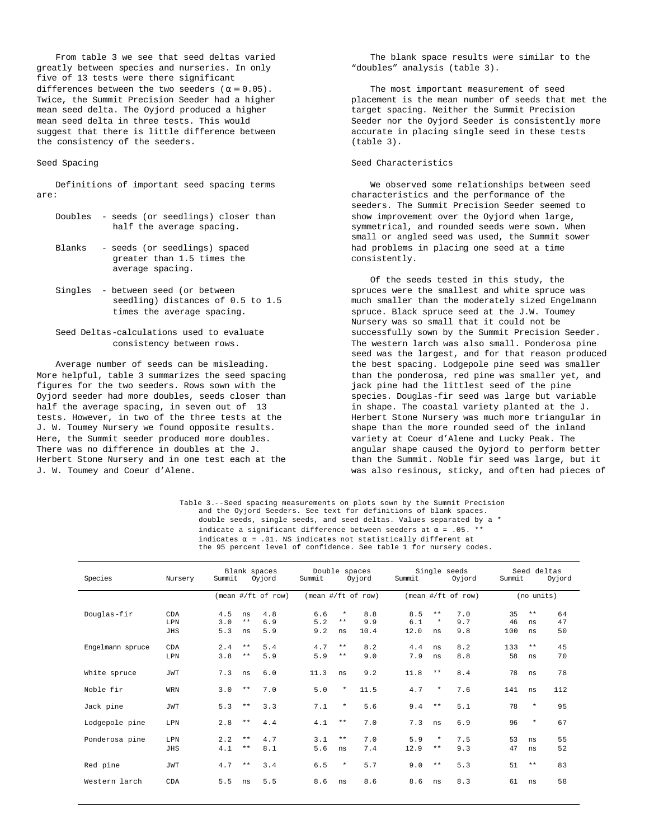From table 3 we see that seed deltas varied greatly between species and nurseries. In only five of 13 tests were there significant differences between the two seeders ( $\alpha = 0.05$ ). Twice, the Summit Precision Seeder had a higher mean seed delta. The Oyjord produced a higher mean seed delta in three tests. This would suggest that there is little difference between the consistency of the seeders.

#### Seed Spacing

Definitions of important seed spacing terms are:

- Doubles seeds (or seedlings) closer than half the average spacing.
- Blanks seeds (or seedlings) spaced greater than 1.5 times the average spacing.
- Singles between seed (or between seedling) distances of 0.5 to 1.5 times the average spacing.
- Seed Deltas-calculations used to evaluate consistency between rows.

Average number of seeds can be misleading. More helpful, table 3 summarizes the seed spacing figures for the two seeders. Rows sown with the Oyjord seeder had more doubles, seeds closer than half the average spacing, in seven out of 13 tests. However, in two of the three tests at the J. W. Toumey Nursery we found opposite results. Here, the Summit seeder produced more doubles. There was no difference in doubles at the J. Herbert Stone Nursery and in one test each at the J. W. Toumey and Coeur d'Alene.

The blank space results were similar to the "doubles" analysis (table 3).

The most important measurement of seed placement is the mean number of seeds that met the target spacing. Neither the Summit Precision Seeder nor the Oyjord Seeder is consistently more accurate in placing single seed in these tests (table 3).

# Seed Characteristics

We observed some relationships between seed characteristics and the performance of the seeders. The Summit Precision Seeder seemed to show improvement over the Oyjord when large, symmetrical, and rounded seeds were sown. When small or angled seed was used, the Summit sower had problems in placing one seed at a time consistently.

Of the seeds tested in this study, the spruces were the smallest and white spruce was much smaller than the moderately sized Engelmann spruce. Black spruce seed at the J.W. Toumey Nursery was so small that it could not be successfully sown by the Summit Precision Seeder. The western larch was also small. Ponderosa pine seed was the largest, and for that reason produced the best spacing. Lodgepole pine seed was smaller than the ponderosa, red pine was smaller yet, and jack pine had the littlest seed of the pine species. Douglas-fir seed was large but variable in shape. The coastal variety planted at the J. Herbert Stone Nursery was much more triangular in shape than the more rounded seed of the inland variety at Coeur d'Alene and Lucky Peak. The angular shape caused the Oyjord to perform better than the Summit. Noble fir seed was large, but it was also resinous, sticky, and often had pieces of

Table 3.--Seed spacing measurements on plots sown by the Summit Precision and the Oyjord Seeders. See text for definitions of blank spaces. double seeds, single seeds, and seed deltas. Values separated by a \* indicate a significant difference between seeders at  $\alpha$  = .05. \*\* indicates  $\alpha$  = .01. NS indicates not statistically different at the 95 percent level of confidence. See table 1 for nursery codes.

| Species          | Nursery            | Blank spaces<br>Summit<br>Oyjord      | Double spaces<br>Summit<br>Oyjord |                    |                       | Summit             | Single seeds<br>Oyjord | Seed deltas<br>Summit<br>Oyjord |                   |                 |                   |                |
|------------------|--------------------|---------------------------------------|-----------------------------------|--------------------|-----------------------|--------------------|------------------------|---------------------------------|-------------------|-----------------|-------------------|----------------|
|                  |                    | $mean$ #/ft of row)                   |                                   | (mean #/ft of row) |                       |                    | $mean$ #/ft of row)    |                                 |                   |                 | (no units)        |                |
| Douglas-fir      | CDA<br>LPN<br>JHS  | 4.5<br>ns<br>$**$<br>3.0<br>5.3<br>ns | 4.8<br>6.9<br>5.9                 | 6.6<br>5.2<br>9.2  | $\star$<br>$**$<br>ns | 8.8<br>9.9<br>10.4 | 8.5<br>6.1<br>12.0     | $**$<br>$\ast$<br>ns            | 7.0<br>9.7<br>9.8 | 35<br>46<br>100 | $***$<br>ns<br>ns | 64<br>47<br>50 |
| Engelmann spruce | CDA<br><b>T.PN</b> | $**$<br>2.4<br>3.8<br>$**$            | 5.4<br>5.9                        | 4.7<br>5.9         | $**$<br>$**$          | 8.2<br>9.0         | 4.4<br>7.9             | ns<br>ns                        | 8.2<br>8.8        | 133<br>58       | $**$<br>ns        | 45<br>70       |
| White spruce     | JWT                | 7.3<br>ns                             | 6.0                               | 11.3               | ns                    | 9.2                | 11.8                   | $* *$                           | 8.4               | 78              | ns                | 78             |
| Noble fir        | WRN                | 3.0<br>$\star\,\star$                 | 7.0                               | 5.0                | $\star$               | 11.5               | 4.7                    | $\star$                         | 7.6               | 141             | ns                | 112            |
| Jack pine        | JWT                | 5.3<br>$\star\star$                   | 3.3                               | 7.1                | $\star$               | 5.6                | 9.4                    | $* *$                           | 5.1               | 78              | $\star$           | 95             |
| Lodgepole pine   | LPN                | $* *$<br>2.8                          | 4.4                               | 4.1                | $* *$                 | 7.0                | 7.3                    | ns                              | 6.9               | 96              | $\star$           | 67             |
| Ponderosa pine   | LPN<br>JHS         | 2.2<br>$***$<br>$**$<br>4.1           | 4.7<br>8.1                        | 3.1<br>5.6         | $**$<br>ns            | 7.0<br>7.4         | 5.9<br>12.9            | $\ast$<br>$**$                  | 7.5<br>9.3        | 53<br>47        | ns<br>ns          | 55<br>52       |
| Red pine         | JWT                | 4.7<br>$* *$                          | 3.4                               | 6.5                | $\star$               | 5.7                | 9.0                    | $* *$                           | 5.3               | 51              | $* *$             | 83             |
| Western larch    | CDA                | 5.5<br>ns                             | 5.5                               | 8.6                | ns                    | 8.6                | 8.6                    | ns                              | 8.3               | 61              | ns                | 58             |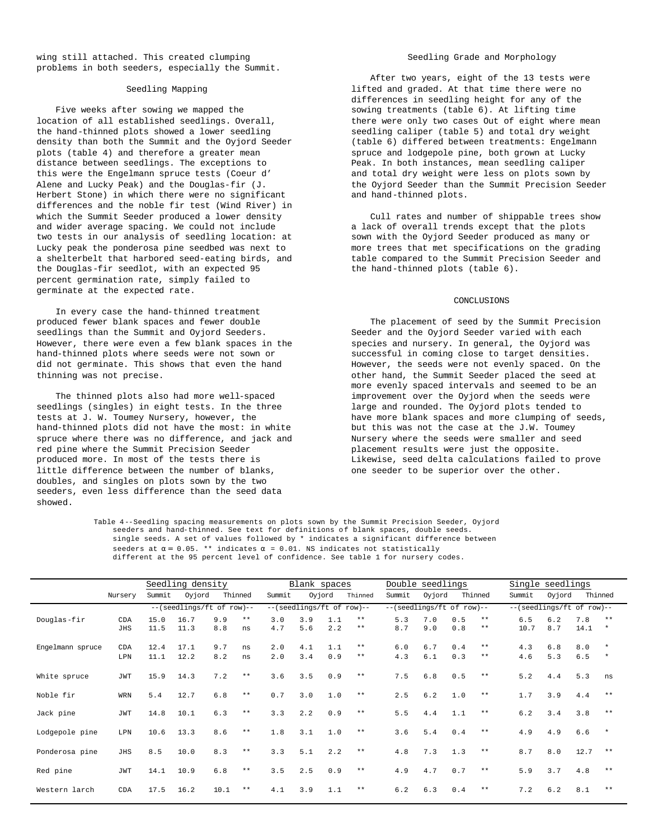wing still attached. This created clumping problems in both seeders, especially the Summit.

# Seedling Mapping

Five weeks after sowing we mapped the location of all established seedlings. Overall, the hand-thinned plots showed a lower seedling density than both the Summit and the Oyjord Seeder plots (table 4) and therefore a greater mean distance between seedlings. The exceptions to this were the Engelmann spruce tests (Coeur d' Alene and Lucky Peak) and the Douglas-fir (J. Herbert Stone) in which there were no significant differences and the noble fir test (Wind River) in which the Summit Seeder produced a lower density and wider average spacing. We could not include two tests in our analysis of seedling location: at Lucky peak the ponderosa pine seedbed was next to a shelterbelt that harbored seed-eating birds, and the Douglas-fir seedlot, with an expected 95 percent germination rate, simply failed to germinate at the expected rate.

In every case the hand-thinned treatment produced fewer blank spaces and fewer double seedlings than the Summit and Oyjord Seeders. However, there were even a few blank spaces in the hand-thinned plots where seeds were not sown or did not germinate. This shows that even the hand thinning was not precise.

The thinned plots also had more well-spaced seedlings (singles) in eight tests. In the three tests at J. W. Toumey Nursery, however, the hand-thinned plots did not have the most: in white spruce where there was no difference, and jack and red pine where the Summit Precision Seeder produced more. In most of the tests there is little difference between the number of blanks, doubles, and singles on plots sown by the two seeders, even less difference than the seed data showed.

#### Seedling Grade and Morphology

After two years, eight of the 13 tests were lifted and graded. At that time there were no differences in seedling height for any of the sowing treatments (table 6). At lifting time there were only two cases Out of eight where mean seedling caliper (table 5) and total dry weight (table 6) differed between treatments: Engelmann spruce and lodgepole pine, both grown at Lucky Peak. In both instances, mean seedling caliper and total dry weight were less on plots sown by the Oyjord Seeder than the Summit Precision Seeder and hand-thinned plots.

Cull rates and number of shippable trees show a lack of overall trends except that the plots sown with the Oyjord Seeder produced as many or more trees that met specifications on the grading table compared to the Summit Precision Seeder and the hand-thinned plots (table 6).

#### **CONCLUSTONS**

The placement of seed by the Summit Precision Seeder and the Oyjord Seeder varied with each species and nursery. In general, the Oyjord was successful in coming close to target densities. However, the seeds were not evenly spaced. On the other hand, the Summit Seeder placed the seed at more evenly spaced intervals and seemed to be an improvement over the Oyjord when the seeds were large and rounded. The Oyjord plots tended to have more blank spaces and more clumping of seeds, but this was not the case at the J.W. Toumey Nursery where the seeds were smaller and seed placement results were just the opposite. Likewise, seed delta calculations failed to prove one seeder to be superior over the other.

Table 4--Seedling spacing measurements on plots sown by the Summit Precision Seeder, Oyjord seeders and hand-thinned. See text for definitions of blank spaces, double seeds. single seeds. A set of values followed by \* indicates a significant difference between seeders at  $\alpha = 0.05$ . \*\* indicates  $\alpha = 0.01$ . NS indicates not statistically different at the 95 percent level of confidence. See table 1 for nursery codes.

|                  |            | Seedling density          |        |         | Blank spaces |                           |        |     | Double seedlings          |        |        |     | Single seedlings          |        |        |         |         |
|------------------|------------|---------------------------|--------|---------|--------------|---------------------------|--------|-----|---------------------------|--------|--------|-----|---------------------------|--------|--------|---------|---------|
|                  | Nursery    | Summit                    | Oyjord | Thinned |              | Summit                    | Oyjord |     | Thinned                   | Summit | Oyjord |     | Thinned                   | Summit | Oyjord | Thinned |         |
|                  |            | --(seedlings/ft of row)-- |        |         |              | --(seedlings/ft of row)-- |        |     | --(seedlings/ft of row)-- |        |        |     | --(seedlings/ft of row)-- |        |        |         |         |
| Douglas-fir      | CDA        | 15.0                      | 16.7   | 9.9     | $* *$        | 3.0                       | 3.9    | 1.1 | $**$                      | 5.3    | 7.0    | 0.5 | $**$                      | 6.5    | 6.2    | 7.8     | $**$    |
|                  | JHS        | 11.5                      | 11.3   | 8.8     | ns           | 4.7                       | 5.6    | 2.2 | $* *$                     | 8.7    | 9.0    | 0.8 | $* *$                     | 10.7   | 8.7    | 14.1    | $\star$ |
| Engelmann spruce | CDA        | 12.4                      | 17.1   | 9.7     | ns           | 2.0                       | 4.1    | 1.1 | $**$                      | 6.0    | 6.7    | 0.4 | $**$                      | 4.3    | 6.8    | 8.0     | $\star$ |
|                  | LPN        | 11.1                      | 12.2   | 8.2     | ns           | 2.0                       | 3.4    | 0.9 | $\star\,\star$            | 4.3    | 6.1    | 0.3 | **                        | 4.6    | 5.3    | 6.5     | $\star$ |
|                  |            |                           |        |         |              |                           |        |     |                           |        |        |     |                           |        |        |         |         |
| White spruce     | JWT        | 15.9                      | 14.3   | 7.2     | $* *$        | 3.6                       | 3.5    | 0.9 | $\star\,\star$            | 7.5    | $6.8$  | 0.5 | $* *$                     | 5.2    | 4.4    | 5.3     | ns      |
|                  |            |                           |        |         |              |                           |        |     |                           |        |        |     |                           |        |        |         |         |
| Noble fir        | WRN        | 5.4                       | 12.7   | $6.8$   | $\star\star$ | 0.7                       | 3.0    | 1.0 | $\star\,\star$            | 2.5    | 6.2    | 1.0 | $* *$                     | 1.7    | 3.9    | 4.4     | $**$    |
| Jack pine        | JWT        | 14.8                      | 10.1   | 6.3     | $\star\star$ | 3.3                       | 2.2    | 0.9 | $* *$                     | 5.5    | 4.4    | 1.1 | **                        | 6.2    | 3.4    | 3.8     | $**$    |
|                  |            |                           |        |         |              |                           |        |     |                           |        |        |     |                           |        |        |         |         |
| Lodgepole pine   | LPN        | 10.6                      | 13.3   | 8.6     | $***$        | 1.8                       | 3.1    | 1.0 | $* *$                     | 3.6    | 5.4    | 0.4 | **                        | 4.9    | 4.9    | 6.6     | $\star$ |
|                  |            |                           |        |         |              |                           |        |     |                           |        |        |     |                           |        |        |         |         |
| Ponderosa pine   | <b>JHS</b> | 8.5                       | 10.0   | 8.3     | $* *$        | 3.3                       | 5.1    | 2.2 | $**$                      | 4.8    | 7.3    | 1.3 | $* *$                     | 8.7    | 8.0    | 12.7    | $**$    |
|                  |            |                           |        |         |              |                           |        |     | $* *$                     |        |        |     | $* *$                     |        |        |         | $**$    |
| Red pine         | JWT        | 14.1                      | 10.9   | $6.8$   | $***$        | 3.5                       | 2.5    | 0.9 |                           | 4.9    | 4.7    | 0.7 |                           | 5.9    | 3.7    | 4.8     |         |
| Western larch    | CDA        | 17.5                      | 16.2   | 10.1    | **           | 4.1                       | 3.9    | 1.1 | **                        | 6.2    | 6.3    | 0.4 | $**$                      | 7.2    | 6.2    | 8.1     | $* *$   |
|                  |            |                           |        |         |              |                           |        |     |                           |        |        |     |                           |        |        |         |         |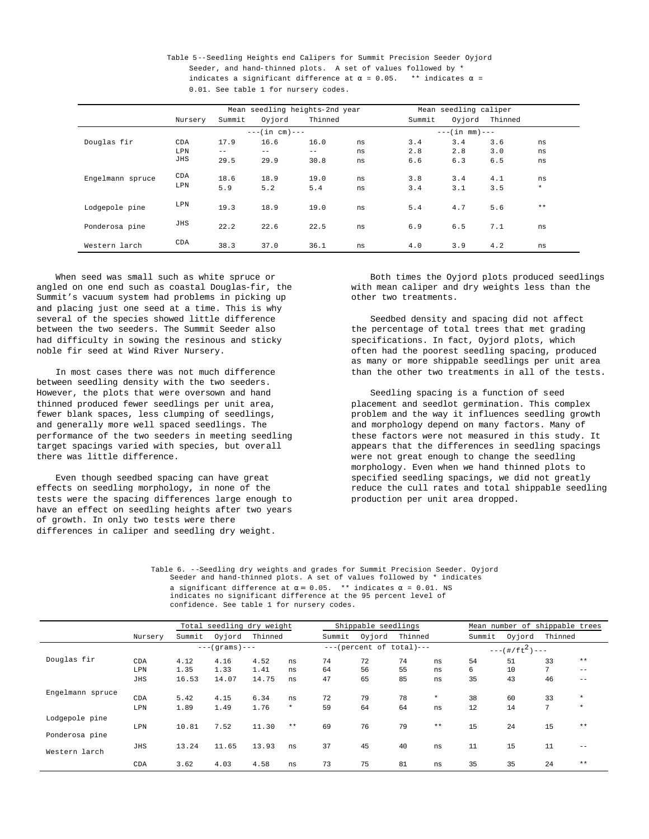Table 5--Seedling Heights end Calipers for Summit Precision Seeder Oyjord Seeder, and hand-thinned plots. A set of values followed by \* indicates a significant difference at  $\alpha$  = 0.05. \*\* indicates  $\alpha$  = 0.01. See table 1 for nursery codes.

|                  |         |        |                   | Mean seedling heights-2nd year | Mean seedling caliper |                 |        |         |         |  |  |
|------------------|---------|--------|-------------------|--------------------------------|-----------------------|-----------------|--------|---------|---------|--|--|
|                  | Nursery | Summit | Oyjord            | Thinned                        |                       | Summit          | Oyjord | Thinned |         |  |  |
|                  |         |        | $---(in cm) ---$  |                                |                       | $---(in mm)---$ |        |         |         |  |  |
| Douglas fir      | CDA     | 17.9   | 16.6              | 16.0                           | ns                    | 3.4             | 3.4    | 3.6     | ns      |  |  |
|                  | LPN     | $- -$  | $\qquad \qquad -$ | $--$                           | ns                    | 2.8             | 2.8    | 3.0     | ns      |  |  |
|                  | JHS     | 29.5   | 29.9              | 30.8                           | ns                    | 6.6             | 6.3    | 6.5     | ns      |  |  |
| Engelmann spruce | CDA     | 18.6   | 18.9              | 19.0                           | ns                    | 3.8             | 3.4    | 4.1     | ns      |  |  |
|                  | LPN     | 5.9    | 5.2               | 5.4                            | ns                    | 3.4             | 3.1    | 3.5     | $\star$ |  |  |
| Lodgepole pine   | LPN     | 19.3   | 18.9              | 19.0                           | ns                    | 5.4             | 4.7    | 5.6     | $**$    |  |  |
| Ponderosa pine   | JHS     | 22.2   | 22.6              | 22.5                           | ns                    | 6.9             | 6.5    | 7.1     | ns      |  |  |
| Western larch    | CDA     | 38.3   | 37.0              | 36.1                           | ns                    | 4.0             | 3.9    | 4.2     | ns      |  |  |

When seed was small such as white spruce or angled on one end such as coastal Douglas-fir, the Summit's vacuum system had problems in picking up and placing just one seed at a time. This is why several of the species showed little difference between the two seeders. The Summit Seeder also had difficulty in sowing the resinous and sticky noble fir seed at Wind River Nursery.

In most cases there was not much difference between seedling density with the two seeders. However, the plots that were oversown and hand thinned produced fewer seedlings per unit area, fewer blank spaces, less clumping of seedlings, and generally more well spaced seedlings. The performance of the two seeders in meeting seedling target spacings varied with species, but overall there was little difference.

Even though seedbed spacing can have great effects on seedling morphology, in none of the tests were the spacing differences large enough to have an effect on seedling heights after two years of growth. In only two tests were there differences in caliper and seedling dry weight.

Both times the Oyjord plots produced seedlings with mean caliper and dry weights less than the other two treatments.

Seedbed density and spacing did not affect the percentage of total trees that met grading specifications. In fact, Oyjord plots, which often had the poorest seedling spacing, produced as many or more shippable seedlings per unit area than the other two treatments in all of the tests.

Seedling spacing is a function of seed placement and seedlot germination. This complex problem and the way it influences seedling growth and morphology depend on many factors. Many of these factors were not measured in this study. It appears that the differences in seedling spacings were not great enough to change the seedling morphology. Even when we hand thinned plots to specified seedling spacings, we did not greatly reduce the cull rates and total shippable seedling production per unit area dropped.

Table 6. --Seedling dry weights and grades for Summit Precision Seeder. Oyjord Seeder and hand-thinned plots. A set of values followed by \* indicates a significant difference at  $\alpha = 0.05$ . \*\* indicates  $\alpha = 0.01$ . NS indicates no significant difference at the 95 percent level of confidence. See table 1 for nursery codes.

|                  |         | Total seedling dry weight |        | Shippable seedlings |         |                            | Mean number of shippable trees |         |         |                     |        |         |                   |  |  |
|------------------|---------|---------------------------|--------|---------------------|---------|----------------------------|--------------------------------|---------|---------|---------------------|--------|---------|-------------------|--|--|
|                  | Nursery | Summit                    | Oyjord | Thinned             |         | Summit                     | Oyjord                         | Thinned |         | Summit              | Oyjord | Thinned |                   |  |  |
|                  |         | $---(grams) ---$          |        |                     |         | $---(percent of total)---$ |                                |         |         | $---(# / f t2) ---$ |        |         |                   |  |  |
| Douglas fir      | CDA     | 4.12                      | 4.16   | 4.52                | ns      | 74                         | 72                             | 74      | ns      | 54                  | 51     | 33      | $**$              |  |  |
|                  | LPN     | 1.35                      | 1.33   | 1.41                | ns      | 64                         | 56                             | 55      | ns      | б.                  | 10     | 7       | $- -$             |  |  |
|                  | JHS     | 16.53                     | 14.07  | 14.75               | ns      | 47                         | 65                             | 85      | ns      | 35                  | 43     | 46      | $\qquad \qquad -$ |  |  |
| Engelmann spruce | CDA     | 5.42                      | 4.15   | 6.34                | ns      | 72                         | 79                             | 78      | $\star$ | 38                  | 60     | 33      | $\ast$            |  |  |
|                  | LPN     | 1.89                      | 1.49   | 1.76                | $\star$ | 59                         | 64                             | 64      | ns      | 12                  | 14     | 7       | $\star$           |  |  |
| Lodgepole pine   | LPN     | 10.81                     | 7.52   | 11.30               | $**$    | 69                         | 76                             | 79      | $* *$   | 15                  | 24     | 15      | $**$              |  |  |
| Ponderosa pine   |         |                           |        |                     |         |                            |                                |         |         |                     |        |         |                   |  |  |
| Western larch    | JHS     | 13.24                     | 11.65  | 13.93               | ns      | 37                         | 45                             | 40      | ns      | 11                  | 15     | 11      | $- -$             |  |  |
|                  | CDA     | 3.62                      | 4.03   | 4.58                | ns      | 73                         | 75                             | 81      | ns      | 35                  | 35     | 24      | $**$              |  |  |